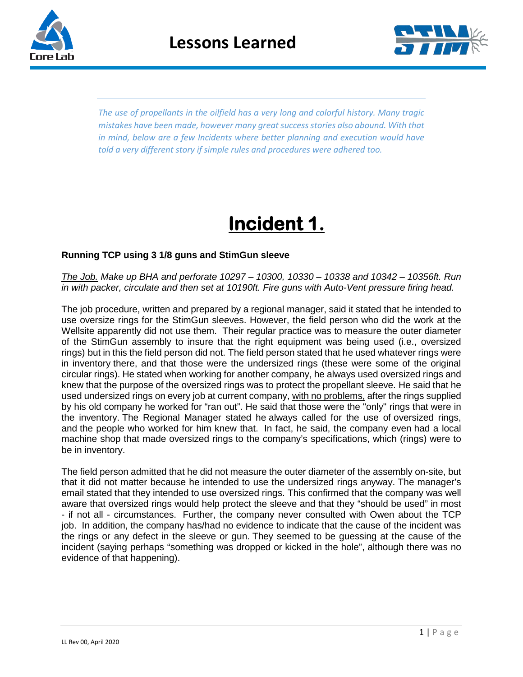



*The use of propellants in the oilfield has a very long and colorful history. Many tragic mistakes have been made, however many great success stories also abound. With that in mind, below are a few Incidents where better planning and execution would have told a very different story if simple rules and procedures were adhered too.*

# **Incident 1.**

### **Running TCP using 3 1/8 guns and StimGun sleeve**

*The Job. Make up BHA and perforate 10297 – 10300, 10330 – 10338 and 10342 – 10356ft. Run in with packer, circulate and then set at 10190ft. Fire guns with Auto-Vent pressure firing head.*

The job procedure, written and prepared by a regional manager, said it stated that he intended to use oversize rings for the StimGun sleeves. However, the field person who did the work at the Wellsite apparently did not use them. Their regular practice was to measure the outer diameter of the StimGun assembly to insure that the right equipment was being used (i.e., oversized rings) but in this the field person did not. The field person stated that he used whatever rings were in inventory there, and that those were the undersized rings (these were some of the original circular rings). He stated when working for another company, he always used oversized rings and knew that the purpose of the oversized rings was to protect the propellant sleeve. He said that he used undersized rings on every job at current company, with no problems, after the rings supplied by his old company he worked for "ran out". He said that those were the "only" rings that were in the inventory. The Regional Manager stated he always called for the use of oversized rings, and the people who worked for him knew that. In fact, he said, the company even had a local machine shop that made oversized rings to the company's specifications, which (rings) were to be in inventory.

The field person admitted that he did not measure the outer diameter of the assembly on-site, but that it did not matter because he intended to use the undersized rings anyway. The manager's email stated that they intended to use oversized rings. This confirmed that the company was well aware that oversized rings would help protect the sleeve and that they "should be used" in most - if not all - circumstances. Further, the company never consulted with Owen about the TCP job. In addition, the company has/had no evidence to indicate that the cause of the incident was the rings or any defect in the sleeve or gun. They seemed to be guessing at the cause of the incident (saying perhaps "something was dropped or kicked in the hole", although there was no evidence of that happening).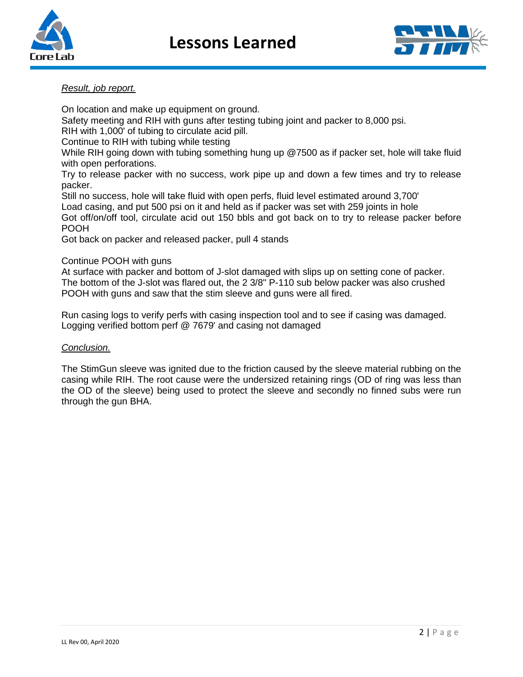



### *Result, job report.*

On location and make up equipment on ground. Safety meeting and RIH with guns after testing tubing joint and packer to 8,000 psi. RIH with 1,000' of tubing to circulate acid pill. Continue to RIH with tubing while testing While RIH going down with tubing something hung up @7500 as if packer set, hole will take fluid with open perforations. Try to release packer with no success, work pipe up and down a few times and try to release packer. Still no success, hole will take fluid with open perfs, fluid level estimated around 3,700' Load casing, and put 500 psi on it and held as if packer was set with 259 joints in hole Got off/on/off tool, circulate acid out 150 bbls and got back on to try to release packer before POOH

Got back on packer and released packer, pull 4 stands

#### Continue POOH with guns

At surface with packer and bottom of J-slot damaged with slips up on setting cone of packer. The bottom of the J-slot was flared out, the 2 3/8" P-110 sub below packer was also crushed POOH with guns and saw that the stim sleeve and guns were all fired.

Run casing logs to verify perfs with casing inspection tool and to see if casing was damaged. Logging verified bottom perf @ 7679' and casing not damaged

#### *Conclusion.*

The StimGun sleeve was ignited due to the friction caused by the sleeve material rubbing on the casing while RIH. The root cause were the undersized retaining rings (OD of ring was less than the OD of the sleeve) being used to protect the sleeve and secondly no finned subs were run through the gun BHA.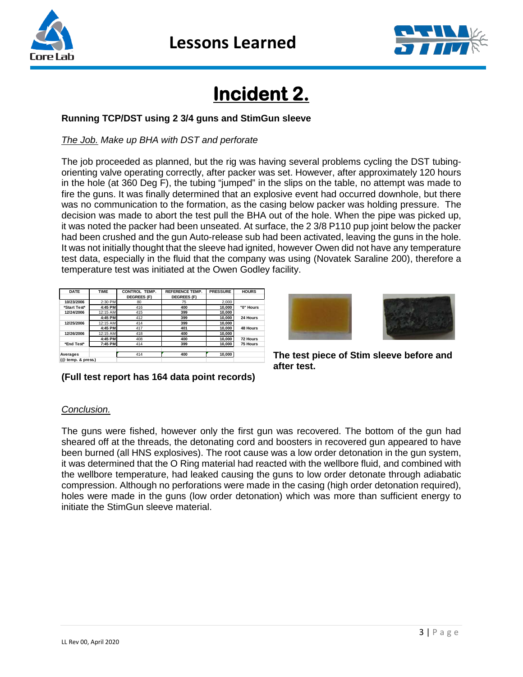



# **Incident 2.**

## **Running TCP/DST using 2 3/4 guns and StimGun sleeve**

## *The Job. Make up BHA with DST and perforate*

The job proceeded as planned, but the rig was having several problems cycling the DST tubingorienting valve operating correctly, after packer was set. However, after approximately 120 hours in the hole (at 360 Deg F), the tubing "jumped" in the slips on the table, no attempt was made to fire the guns. It was finally determined that an explosive event had occurred downhole, but there was no communication to the formation, as the casing below packer was holding pressure. The decision was made to abort the test pull the BHA out of the hole. When the pipe was picked up, it was noted the packer had been unseated. At surface, the 2 3/8 P110 pup joint below the packer had been crushed and the gun Auto-release sub had been activated, leaving the guns in the hole. It was not initially thought that the sleeve had ignited, however Owen did not have any temperature test data, especially in the fluid that the company was using (Novatek Saraline 200), therefore a temperature test was initiated at the Owen Godley facility.

| <b>DATE</b>        | TIME     | <b>CONTROL TEMP.</b> | <b>REFERENCE TEMP.</b> | <b>PRESSURE</b> | <b>HOURS</b>    |
|--------------------|----------|----------------------|------------------------|-----------------|-----------------|
|                    |          | <b>DEGREES (F)</b>   | <b>DEGREES (F)</b>     |                 |                 |
| 10/23/2006         | 2:30 PM  | 80                   | 75                     | 2.000           |                 |
| *Start Test*       | 4:45 PM  | 416                  | 400                    | 10.000          | "0" Hours       |
| 12/24/2006         | 12:15 AM | 415                  | 399                    | 10.000          |                 |
|                    | 4:45 PM  | 412                  | 399                    | 10.000          | 24 Hours        |
| 12/25/2006         | 12:15 AM | 414                  | 399                    | 10.000          |                 |
|                    | 4:45 PM  | 417                  | 401                    | 10.000          | <b>48 Hours</b> |
| 12/26/2006         | 12:15 AM | 418                  | 400                    | 10.000          |                 |
|                    | 4:45 PM  | 408                  | 400                    | 10.000          | 72 Hours        |
| *End Test*         | 7:45 PM  | 414                  | 399                    | 10.000          | 75 Hours        |
|                    |          |                      |                        |                 |                 |
| Averages           |          | 414                  | 400                    | 10.000          |                 |
| (@ temp. & press.) |          |                      |                        |                 |                 |



**The test piece of Stim sleeve before and after test.** 

# **(Full test report has 164 data point records)**

## *Conclusion.*

The guns were fished, however only the first gun was recovered. The bottom of the gun had sheared off at the threads, the detonating cord and boosters in recovered gun appeared to have been burned (all HNS explosives). The root cause was a low order detonation in the gun system, it was determined that the O Ring material had reacted with the wellbore fluid, and combined with the wellbore temperature, had leaked causing the guns to low order detonate through adiabatic compression. Although no perforations were made in the casing (high order detonation required), holes were made in the guns (low order detonation) which was more than sufficient energy to initiate the StimGun sleeve material.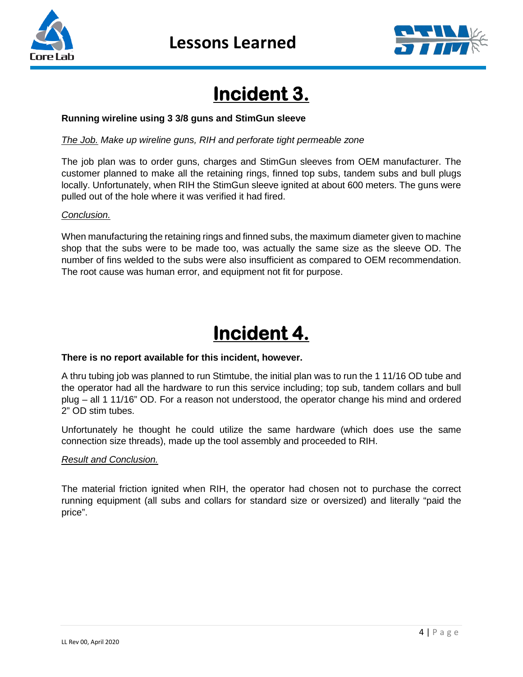



# **Incident 3.**

### **Running wireline using 3 3/8 guns and StimGun sleeve**

*The Job. Make up wireline guns, RIH and perforate tight permeable zone*

The job plan was to order guns, charges and StimGun sleeves from OEM manufacturer. The customer planned to make all the retaining rings, finned top subs, tandem subs and bull plugs locally. Unfortunately, when RIH the StimGun sleeve ignited at about 600 meters. The guns were pulled out of the hole where it was verified it had fired.

#### *Conclusion.*

When manufacturing the retaining rings and finned subs, the maximum diameter given to machine shop that the subs were to be made too, was actually the same size as the sleeve OD. The number of fins welded to the subs were also insufficient as compared to OEM recommendation. The root cause was human error, and equipment not fit for purpose.

# **Incident 4.**

#### **There is no report available for this incident, however.**

A thru tubing job was planned to run Stimtube, the initial plan was to run the 1 11/16 OD tube and the operator had all the hardware to run this service including; top sub, tandem collars and bull plug – all 1 11/16" OD. For a reason not understood, the operator change his mind and ordered 2" OD stim tubes.

Unfortunately he thought he could utilize the same hardware (which does use the same connection size threads), made up the tool assembly and proceeded to RIH.

#### *Result and Conclusion.*

The material friction ignited when RIH, the operator had chosen not to purchase the correct running equipment (all subs and collars for standard size or oversized) and literally "paid the price".